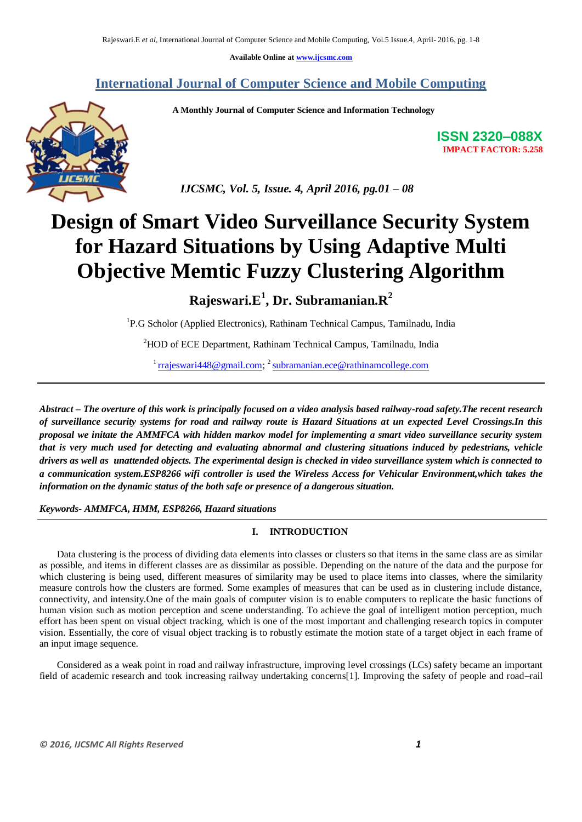**Available Online at [www.ijcsmc.com](http://www.ijcsmc.com/)**

## **International Journal of Computer Science and Mobile Computing**

 **A Monthly Journal of Computer Science and Information Technology**



**ISSN 2320–088X IMPACT FACTOR: 5.258**

 *IJCSMC, Vol. 5, Issue. 4, April 2016, pg.01 – 08*

# **Design of Smart Video Surveillance Security System for Hazard Situations by Using Adaptive Multi Objective Memtic Fuzzy Clustering Algorithm**

**Rajeswari.E<sup>1</sup> , Dr. Subramanian.R<sup>2</sup>**

<sup>1</sup>P.G Scholor (Applied Electronics), Rathinam Technical Campus, Tamilnadu, India

<sup>2</sup>HOD of ECE Department, Rathinam Technical Campus, Tamilnadu, India

<sup>1</sup> [rrajeswari448@gmail.com;](mailto:rrajeswari448@gmail.com) <sup>2</sup> [subramanian.ece@rathinamcollege.com](mailto:subramanian.ece@rathinamcollege.com)

*Abstract – The overture of this work is principally focused on a video analysis based railway-road safety.The recent research of surveillance security systems for road and railway route is Hazard Situations at un expected Level Crossings.In this proposal we initate the AMMFCA with hidden markov model for implementing a smart video surveillance security system that is very much used for detecting and evaluating abnormal and clustering situations induced by pedestrians, vehicle drivers as well as unattended objects. The experimental design is checked in video surveillance system which is connected to a communication system.ESP8266 wifi controller is used the Wireless Access for Vehicular Environment,which takes the information on the dynamic status of the both safe or presence of a dangerous situation.*

*Keywords- AMMFCA, HMM, ESP8266, Hazard situations*

## **I. INTRODUCTION**

Data clustering is the process of dividing data elements into classes or clusters so that items in the same class are as similar as possible, and items in different classes are as dissimilar as possible. Depending on the nature of the data and the purpose for which clustering is being used, different measures of similarity may be used to place items into classes, where the similarity measure controls how the clusters are formed. Some examples of measures that can be used as in clustering include distance, connectivity, and intensity.One of the main goals of computer vision is to enable computers to replicate the basic functions of human vision such as motion perception and scene understanding. To achieve the goal of intelligent motion perception, much effort has been spent on visual object tracking, which is one of the most important and challenging research topics in computer vision. Essentially, the core of visual object tracking is to robustly estimate the motion state of a target object in each frame of an input image sequence.

Considered as a weak point in road and railway infrastructure, improving level crossings (LCs) safety became an important field of academic research and took increasing railway undertaking concerns[1]. Improving the safety of people and road–rail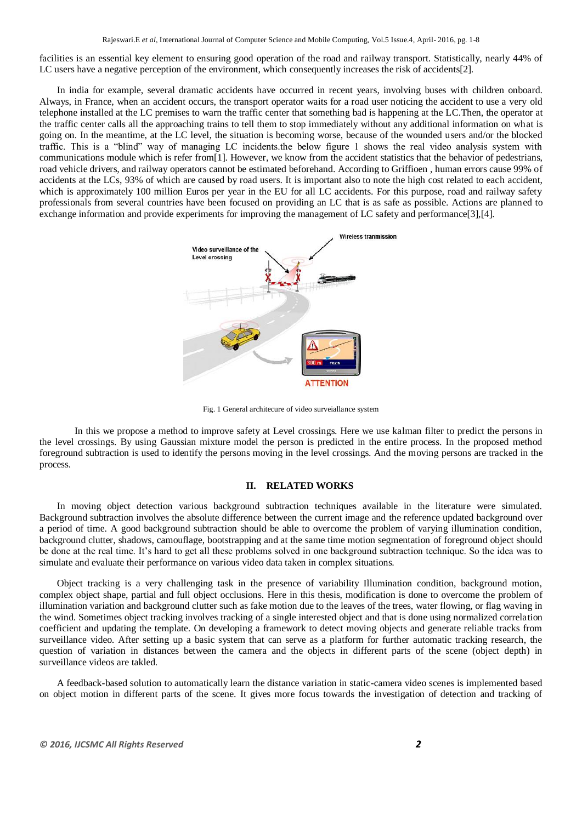facilities is an essential key element to ensuring good operation of the road and railway transport. Statistically, nearly 44% of LC users have a negative perception of the environment, which consequently increases the risk of accidents[2].

In india for example, several dramatic accidents have occurred in recent years, involving buses with children onboard. Always, in France, when an accident occurs, the transport operator waits for a road user noticing the accident to use a very old telephone installed at the LC premises to warn the traffic center that something bad is happening at the LC.Then, the operator at the traffic center calls all the approaching trains to tell them to stop immediately without any additional information on what is going on. In the meantime, at the LC level, the situation is becoming worse, because of the wounded users and/or the blocked traffic. This is a "blind" way of managing LC incidents.the below figure 1 shows the real video analysis system with communications module which is refer from[1]. However, we know from the accident statistics that the behavior of pedestrians, road vehicle drivers, and railway operators cannot be estimated beforehand. According to Griffioen , human errors cause 99% of accidents at the LCs, 93% of which are caused by road users. It is important also to note the high cost related to each accident, which is approximately 100 million Euros per year in the EU for all LC accidents. For this purpose, road and railway safety professionals from several countries have been focused on providing an LC that is as safe as possible. Actions are planned to exchange information and provide experiments for improving the management of LC safety and performance[3],[4].



Fig. 1 General architecure of video surveiallance system

In this we propose a method to improve safety at Level crossings. Here we use kalman filter to predict the persons in the level crossings. By using Gaussian mixture model the person is predicted in the entire process. In the proposed method foreground subtraction is used to identify the persons moving in the level crossings. And the moving persons are tracked in the process.

#### **II. RELATED WORKS**

In moving object detection various background subtraction techniques available in the literature were simulated. Background subtraction involves the absolute difference between the current image and the reference updated background over a period of time. A good background subtraction should be able to overcome the problem of varying illumination condition, background clutter, shadows, camouflage, bootstrapping and at the same time motion segmentation of foreground object should be done at the real time. It's hard to get all these problems solved in one background subtraction technique. So the idea was to simulate and evaluate their performance on various video data taken in complex situations.

Object tracking is a very challenging task in the presence of variability Illumination condition, background motion, complex object shape, partial and full object occlusions. Here in this thesis, modification is done to overcome the problem of illumination variation and background clutter such as fake motion due to the leaves of the trees, water flowing, or flag waving in the wind. Sometimes object tracking involves tracking of a single interested object and that is done using normalized correlation coefficient and updating the template. On developing a framework to detect moving objects and generate reliable tracks from surveillance video. After setting up a basic system that can serve as a platform for further automatic tracking research, the question of variation in distances between the camera and the objects in different parts of the scene (object depth) in surveillance videos are takled.

A feedback-based solution to automatically learn the distance variation in static-camera video scenes is implemented based on object motion in different parts of the scene. It gives more focus towards the investigation of detection and tracking of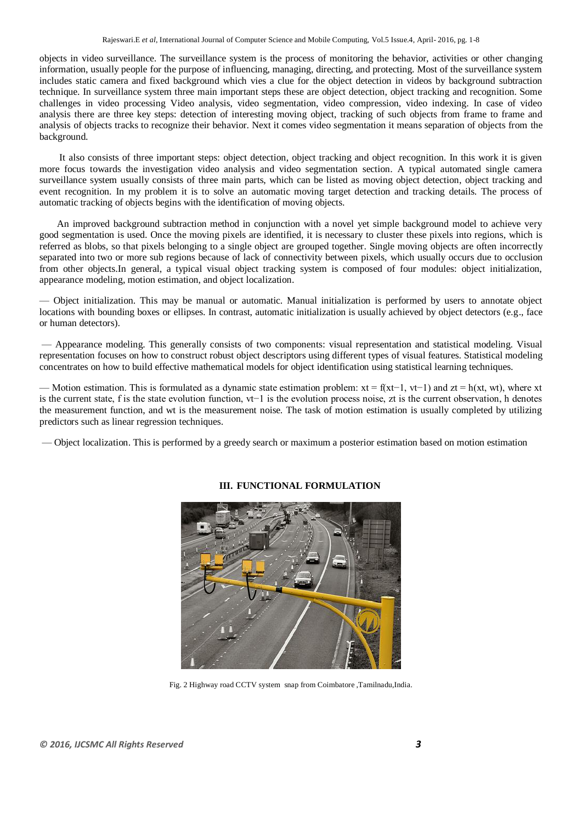objects in video surveillance. The surveillance system is the process of monitoring the behavior, activities or other changing information, usually people for the purpose of influencing, managing, directing, and protecting. Most of the surveillance system includes static camera and fixed background which vies a clue for the object detection in videos by background subtraction technique. In surveillance system three main important steps these are object detection, object tracking and recognition. Some challenges in video processing Video analysis, video segmentation, video compression, video indexing. In case of video analysis there are three key steps: detection of interesting moving object, tracking of such objects from frame to frame and analysis of objects tracks to recognize their behavior. Next it comes video segmentation it means separation of objects from the background.

It also consists of three important steps: object detection, object tracking and object recognition. In this work it is given more focus towards the investigation video analysis and video segmentation section. A typical automated single camera surveillance system usually consists of three main parts, which can be listed as moving object detection, object tracking and event recognition. In my problem it is to solve an automatic moving target detection and tracking details. The process of automatic tracking of objects begins with the identification of moving objects.

An improved background subtraction method in conjunction with a novel yet simple background model to achieve very good segmentation is used. Once the moving pixels are identified, it is necessary to cluster these pixels into regions, which is referred as blobs, so that pixels belonging to a single object are grouped together. Single moving objects are often incorrectly separated into two or more sub regions because of lack of connectivity between pixels, which usually occurs due to occlusion from other objects.In general, a typical visual object tracking system is composed of four modules: object initialization, appearance modeling, motion estimation, and object localization.

— Object initialization. This may be manual or automatic. Manual initialization is performed by users to annotate object locations with bounding boxes or ellipses. In contrast, automatic initialization is usually achieved by object detectors (e.g., face or human detectors).

— Appearance modeling. This generally consists of two components: visual representation and statistical modeling. Visual representation focuses on how to construct robust object descriptors using different types of visual features. Statistical modeling concentrates on how to build effective mathematical models for object identification using statistical learning techniques.

— Motion estimation. This is formulated as a dynamic state estimation problem:  $xt = f(xt-1, vt-1)$  and  $zt = h(xt, wt)$ , where xt is the current state, f is the state evolution function, vt−1 is the evolution process noise, zt is the current observation, h denotes the measurement function, and wt is the measurement noise. The task of motion estimation is usually completed by utilizing predictors such as linear regression techniques.

— Object localization. This is performed by a greedy search or maximum a posterior estimation based on motion estimation



## **III. FUNCTIONAL FORMULATION**

Fig. 2 Highway road CCTV system snap from Coimbatore ,Tamilnadu,India.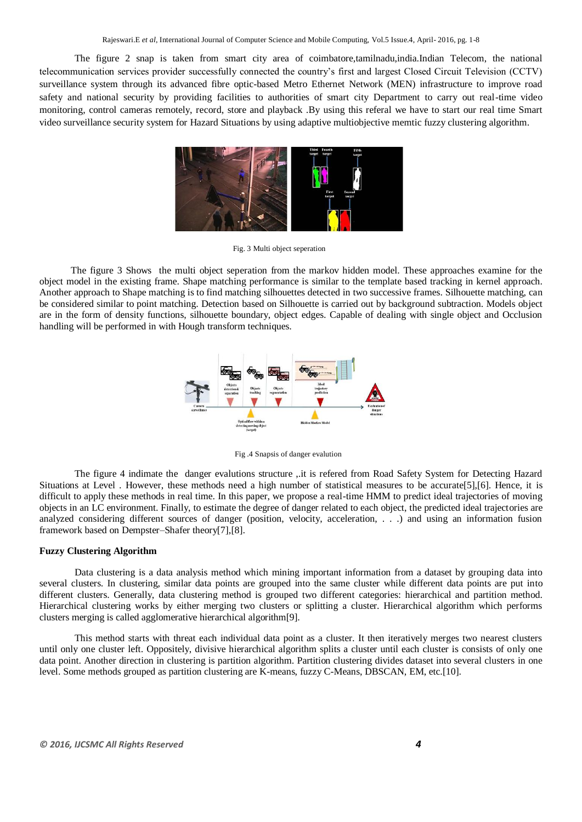The figure 2 snap is taken from smart city area of coimbatore,tamilnadu,india.Indian Telecom, the national telecommunication services provider successfully connected the country's first and largest Closed Circuit Television (CCTV) surveillance system through its advanced fibre optic-based Metro Ethernet Network (MEN) infrastructure to improve road safety and national security by providing facilities to authorities of smart city Department to carry out real-time video monitoring, control cameras remotely, record, store and playback .By using this referal we have to start our real time Smart video surveillance security system for Hazard Situations by using adaptive multiobjective memtic fuzzy clustering algorithm.



Fig. 3 Multi object seperation

 The figure 3 Shows the multi object seperation from the markov hidden model. These approaches examine for the object model in the existing frame. Shape matching performance is similar to the template based tracking in kernel approach. Another approach to Shape matching is to find matching silhouettes detected in two successive frames. Silhouette matching, can be considered similar to point matching. Detection based on Silhouette is carried out by background subtraction. Models object are in the form of density functions, silhouette boundary, object edges. Capable of dealing with single object and Occlusion handling will be performed in with Hough transform techniques.



Fig .4 Snapsis of danger evalution

The figure 4 indimate the danger evalutions structure ,.it is refered from Road Safety System for Detecting Hazard Situations at Level . However, these methods need a high number of statistical measures to be accurate[5],[6]. Hence, it is difficult to apply these methods in real time. In this paper, we propose a real-time HMM to predict ideal trajectories of moving objects in an LC environment. Finally, to estimate the degree of danger related to each object, the predicted ideal trajectories are analyzed considering different sources of danger (position, velocity, acceleration, . . .) and using an information fusion framework based on Dempster–Shafer theory[7],[8].

#### **Fuzzy Clustering Algorithm**

Data clustering is a data analysis method which mining important information from a dataset by grouping data into several clusters. In clustering, similar data points are grouped into the same cluster while different data points are put into different clusters. Generally, data clustering method is grouped two different categories: hierarchical and partition method. Hierarchical clustering works by either merging two clusters or splitting a cluster. Hierarchical algorithm which performs clusters merging is called agglomerative hierarchical algorithm[9].

This method starts with threat each individual data point as a cluster. It then iteratively merges two nearest clusters until only one cluster left. Oppositely, divisive hierarchical algorithm splits a cluster until each cluster is consists of only one data point. Another direction in clustering is partition algorithm. Partition clustering divides dataset into several clusters in one level. Some methods grouped as partition clustering are K-means, fuzzy C-Means, DBSCAN, EM, etc.[10].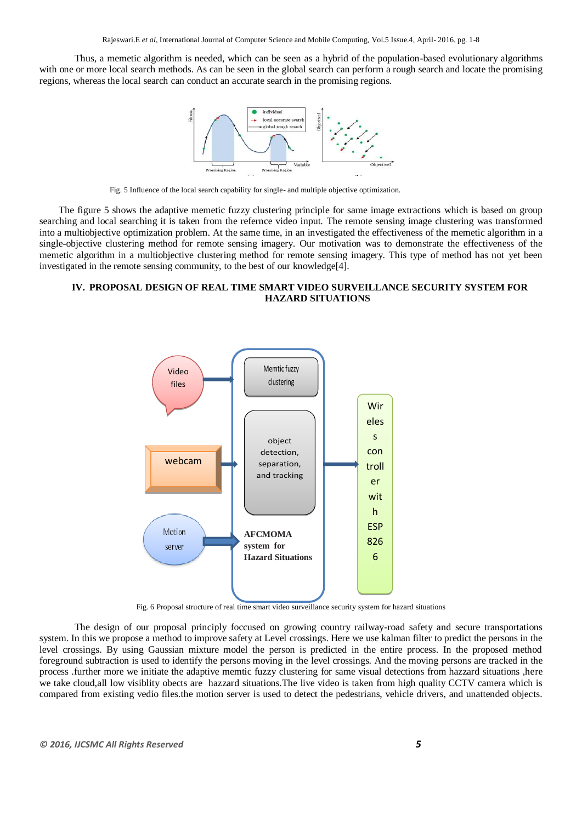Thus, a memetic algorithm is needed, which can be seen as a hybrid of the population-based evolutionary algorithms with one or more local search methods. As can be seen in the global search can perform a rough search and locate the promising regions, whereas the local search can conduct an accurate search in the promising regions.



Fig. 5 Influence of the local search capability for single- and multiple objective optimization.

 The figure 5 shows the adaptive memetic fuzzy clustering principle for same image extractions which is based on group searching and local searching it is taken from the refernce video input. The remote sensing image clustering was transformed into a multiobjective optimization problem. At the same time, in an investigated the effectiveness of the memetic algorithm in a single-objective clustering method for remote sensing imagery. Our motivation was to demonstrate the effectiveness of the memetic algorithm in a multiobjective clustering method for remote sensing imagery. This type of method has not yet been investigated in the remote sensing community, to the best of our knowledge[4].

## **IV. PROPOSAL DESIGN OF REAL TIME SMART VIDEO SURVEILLANCE SECURITY SYSTEM FOR HAZARD SITUATIONS**



Fig. 6 Proposal structure of real time smart video surveillance security system for hazard situations

The design of our proposal principly foccused on growing country railway-road safety and secure transportations system. In this we propose a method to improve safety at Level crossings. Here we use kalman filter to predict the persons in the level crossings. By using Gaussian mixture model the person is predicted in the entire process. In the proposed method foreground subtraction is used to identify the persons moving in the level crossings. And the moving persons are tracked in the process .further more we initiate the adaptive memtic fuzzy clustering for same visual detections from hazzard situations ,here we take cloud,all low visiblity obects are hazzard situations.The live video is taken from high quality CCTV camera which is compared from existing vedio files.the motion server is used to detect the pedestrians, vehicle drivers, and unattended objects.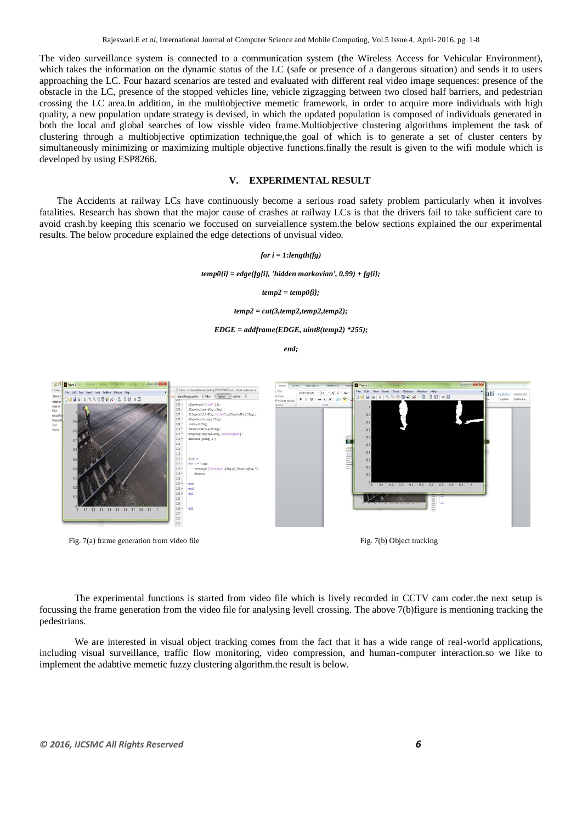The video surveillance system is connected to a communication system (the Wireless Access for Vehicular Environment), which takes the information on the dynamic status of the LC (safe or presence of a dangerous situation) and sends it to users approaching the LC. Four hazard scenarios are tested and evaluated with different real video image sequences: presence of the obstacle in the LC, presence of the stopped vehicles line, vehicle zigzagging between two closed half barriers, and pedestrian crossing the LC area.In addition, in the multiobjective memetic framework, in order to acquire more individuals with high quality, a new population update strategy is devised, in which the updated population is composed of individuals generated in both the local and global searches of low vissble video frame.Multiobjective clustering algorithms implement the task of clustering through a multiobjective optimization technique,the goal of which is to generate a set of cluster centers by simultaneously minimizing or maximizing multiple objective functions.finally the result is given to the wifi module which is developed by using ESP8266.

### **V. EXPERIMENTAL RESULT**

The Accidents at railway LCs have continuously become a serious road safety problem particularly when it involves fatalities. Research has shown that the major cause of crashes at railway LCs is that the drivers fail to take sufficient care to avoid crash.by keeping this scenario we foccused on surveiallence system.the below sections explained the our experimental results. The below procedure explained the edge detections of unvisual video.

#### *for i = 1:length(fg)*

*temp0{i} = edge(fg{i}, 'hidden markovian', 0.99) + fg{i};*

#### *temp2 = temp0{i};*

*temp2 = cat(3,temp2,temp2,temp2);*

#### *EDGE = addframe(EDGE, uint8(temp2) \*255);*

*end;*



Fig. 7(a) frame generation from video file Fig. 7(b) Object tracking



The experimental functions is started from video file which is lively recorded in CCTV cam coder.the next setup is focussing the frame generation from the video file for analysing levell crossing. The above 7(b)figure is mentioning tracking the pedestrians.

We are interested in visual object tracking comes from the fact that it has a wide range of real-world applications, including visual surveillance, traffic flow monitoring, video compression, and human-computer interaction.so we like to implement the adabtive memetic fuzzy clustering algorithm.the result is below.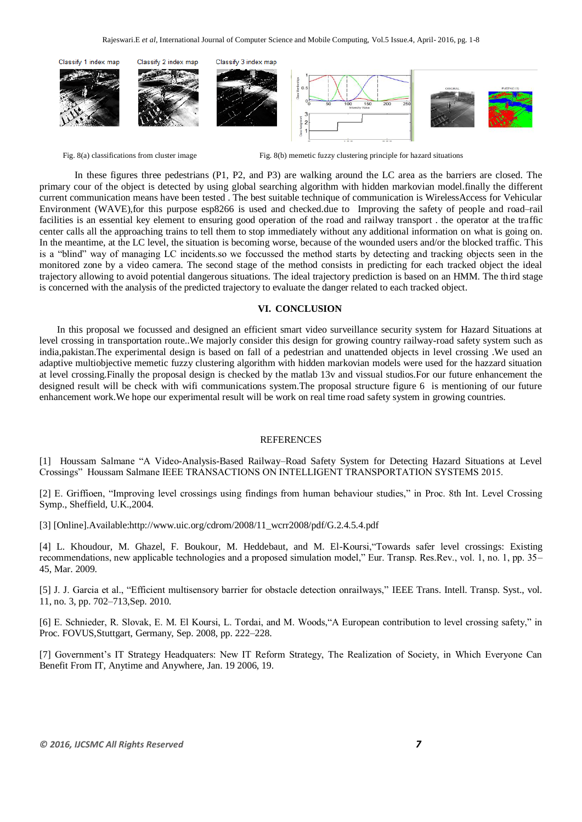

Fig. 8(b) memetic fuzzy clustering principle for hazard situations from cluster image Fig. 8(b) memetic fuzzy clustering principle for hazard situations

In these figures three pedestrians (P1, P2, and P3) are walking around the LC area as the barriers are closed. The primary cour of the object is detected by using global searching algorithm with hidden markovian model.finally the different current communication means have been tested . The best suitable technique of communication is WirelessAccess for Vehicular Environment (WAVE),for this purpose esp8266 is used and checked.due to Improving the safety of people and road–rail facilities is an essential key element to ensuring good operation of the road and railway transport . the operator at the traffic center calls all the approaching trains to tell them to stop immediately without any additional information on what is going on. In the meantime, at the LC level, the situation is becoming worse, because of the wounded users and/or the blocked traffic. This is a "blind" way of managing LC incidents.so we foccussed the method starts by detecting and tracking objects seen in the monitored zone by a video camera. The second stage of the method consists in predicting for each tracked object the ideal trajectory allowing to avoid potential dangerous situations. The ideal trajectory prediction is based on an HMM. The third stage is concerned with the analysis of the predicted trajectory to evaluate the danger related to each tracked object.

### **VI. CONCLUSION**

In this proposal we focussed and designed an efficient smart video surveillance security system for Hazard Situations at level crossing in transportation route..We majorly consider this design for growing country railway-road safety system such as india,pakistan.The experimental design is based on fall of a pedestrian and unattended objects in level crossing .We used an adaptive multiobjective memetic fuzzy clustering algorithm with hidden markovian models were used for the hazzard situation at level crossing.Finally the proposal design is checked by the matlab 13v and vissual studios.For our future enhancement the designed result will be check with wifi communications system.The proposal structure figure 6 is mentioning of our future enhancement work.We hope our experimental result will be work on real time road safety system in growing countries.

#### REFERENCES

[1] Houssam Salmane "A Video-Analysis-Based Railway–Road Safety System for Detecting Hazard Situations at Level Crossings‖ Houssam Salmane IEEE TRANSACTIONS ON INTELLIGENT TRANSPORTATION SYSTEMS 2015.

[2] E. Griffioen, "Improving level crossings using findings from human behaviour studies," in Proc. 8th Int. Level Crossing Symp., Sheffield, U.K.,2004.

[3] [Online].Available:http://www.uic.org/cdrom/2008/11\_wcrr2008/pdf/G.2.4.5.4.pdf

[4] L. Khoudour, M. Ghazel, F. Boukour, M. Heddebaut, and M. El-Koursi, "Towards safer level crossings: Existing recommendations, new applicable technologies and a proposed simulation model," Eur. Transp. Res.Rev., vol. 1, no. 1, pp. 35– 45, Mar. 2009.

[5] J. J. Garcia et al., "Efficient multisensory barrier for obstacle detection onrailways," IEEE Trans. Intell. Transp. Syst., vol. 11, no. 3, pp. 702–713,Sep. 2010.

[6] E. Schnieder, R. Slovak, E. M. El Koursi, L. Tordai, and M. Woods, "A European contribution to level crossing safety," in Proc. FOVUS,Stuttgart, Germany, Sep. 2008, pp. 222–228.

[7] Government's IT Strategy Headquaters: New IT Reform Strategy, The Realization of Society, in Which Everyone Can Benefit From IT, Anytime and Anywhere, Jan. 19 2006, 19.